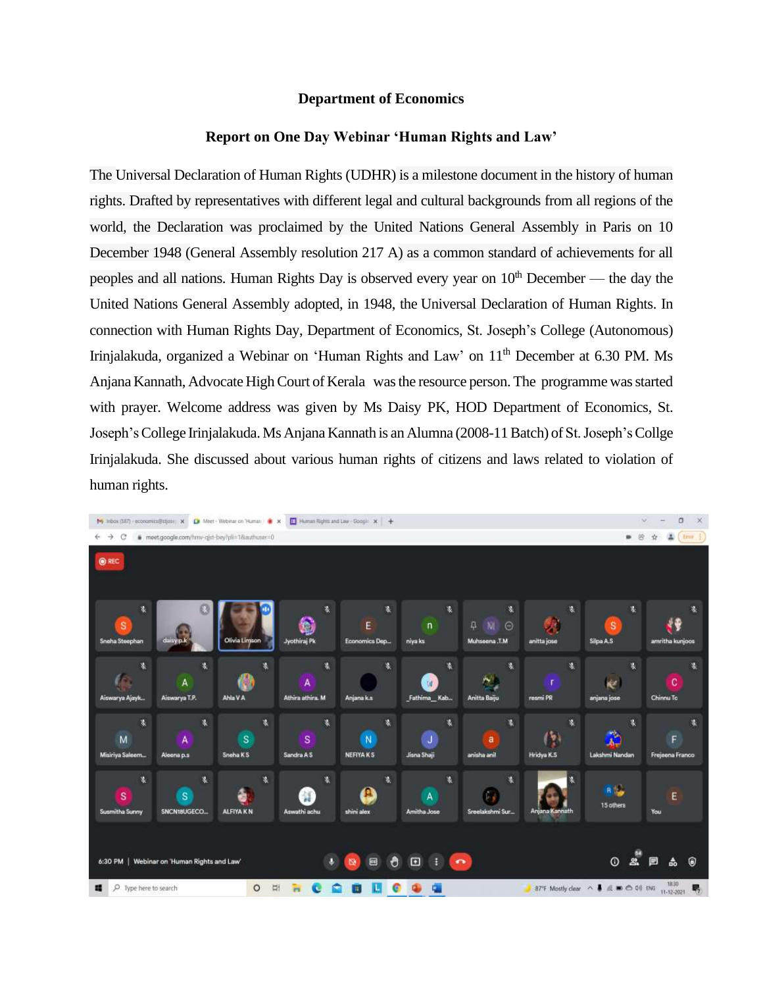## **Department of Economics**

## **Report on One Day Webinar 'Human Rights and Law'**

The [Universal Declaration of Human Rights \(UDHR\)](https://www.un.org/sites/un2.un.org/files/udhr.pdf) is a milestone document in the history of human rights. Drafted by representatives with different legal and cultural backgrounds from all regions of the world, the Declaration was proclaimed by the United Nations General Assembly in Paris on 10 December 1948 [\(General Assembly resolution 217 A\)](https://www.un.org/en/ga/search/view_doc.asp?symbol=A/RES/217(III)) as a common standard of achievements for all peoples and all nations. Human Rights Day is observed every year on  $10<sup>th</sup>$  December — the day the United Nations General Assembly adopted, in 1948, the Universal Declaration of Human Rights. In connection with Human Rights Day, Department of Economics, St. Joseph's College (Autonomous) Irinjalakuda, organized a Webinar on 'Human Rights and Law' on  $11<sup>th</sup>$  December at 6.30 PM. Ms Anjana Kannath, Advocate High Court of Kerala was the resource person. The programme was started with prayer. Welcome address was given by Ms Daisy PK, HOD Department of Economics, St. Joseph'sCollege Irinjalakuda. Ms Anjana Kannath is an Alumna (2008-11 Batch) of St. Joseph'sCollge Irinjalakuda. She discussed about various human rights of citizens and laws related to violation of human rights.

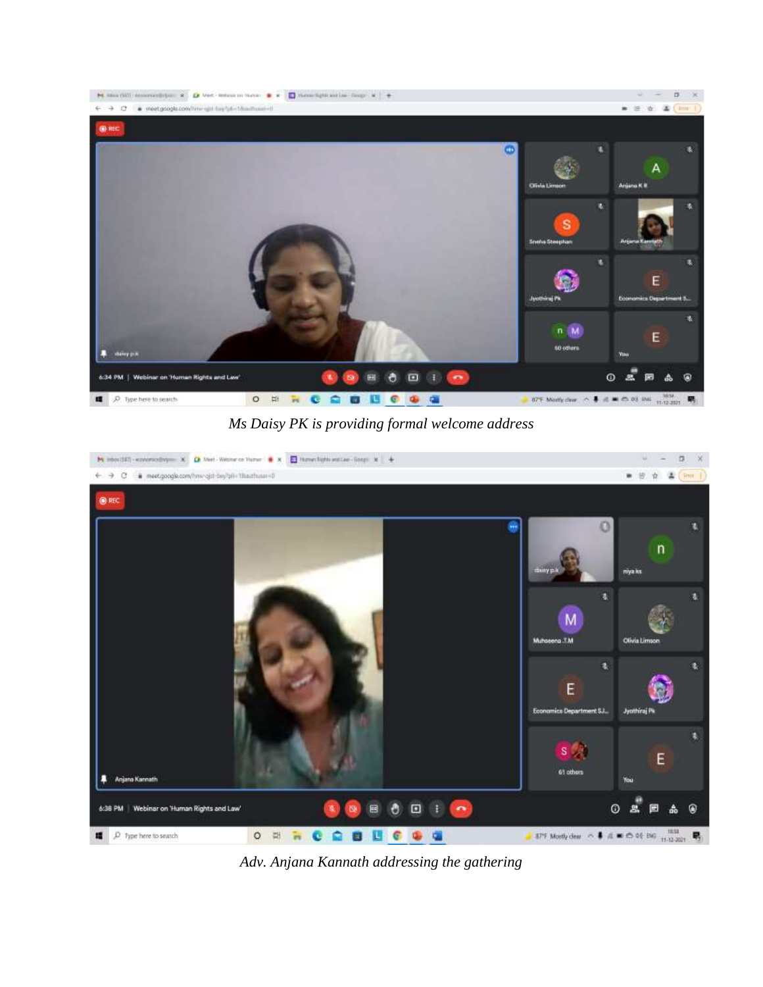

*Ms Daisy PK is providing formal welcome address*



*Adv. Anjana Kannath addressing the gathering*